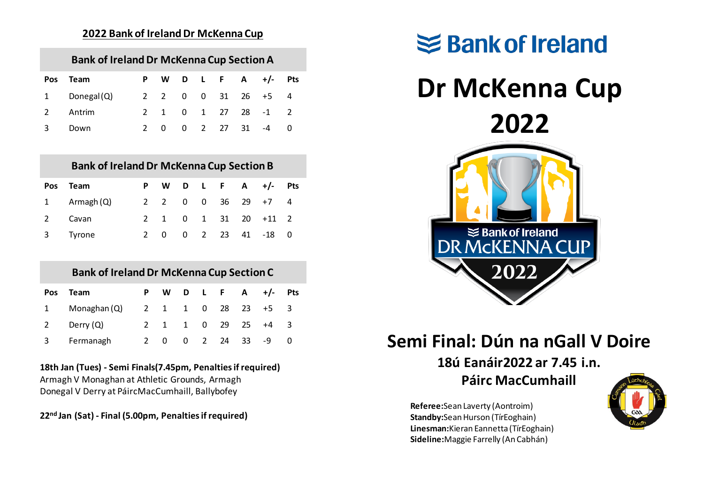#### **2022 Bank of Ireland Dr McKenna Cup**

| <b>Bank of Ireland Dr McKenna Cup Section A</b> |  |  |  |                       |  |
|-------------------------------------------------|--|--|--|-----------------------|--|
| Pos Team                                        |  |  |  | P W D L F A $+/-$ Pts |  |

| 1 Donegal(Q) |  |  |  | 2 2 0 0 31 26 +5 4 |  |
|--------------|--|--|--|--------------------|--|
| 2 Antrim     |  |  |  | 2 1 0 1 27 28 -1 2 |  |
| 3 Down       |  |  |  | 2 0 0 2 27 31 -4 0 |  |

#### **Bank of Ireland Dr McKenna Cup Section B**

| Pos Team              |  |  |  | P W D L F A $+/-$ Pts |  |
|-----------------------|--|--|--|-----------------------|--|
| 1 $\Delta$ Armagh (Q) |  |  |  | 2 2 0 0 36 29 +7 4    |  |
| 2 Cavan               |  |  |  | 2 1 0 1 31 20 +11 2   |  |
| 3 Tyrone              |  |  |  | 2 0 0 2 23 41 -18 0   |  |

## **Bank of Ireland Dr McKenna Cup Section C**

|             | Pos Team     |     |  |               | P W D L F A $+/-$ Pts |    |
|-------------|--------------|-----|--|---------------|-----------------------|----|
| $1 \quad$   | Monaghan (Q) |     |  |               | 2 1 1 0 28 23 +5 3    |    |
| $2^{\circ}$ | Derry $(Q)$  |     |  | 2 1 1 0 29 25 | $+4$                  | ્ર |
| 3           | Fermanagh    | 2 0 |  | 0 2 24 33     | -9                    |    |

### **18th Jan (Tues) - Semi Finals(7.45pm, Penalties if required)**

Armagh V Monaghan at Athletic Grounds, Armagh Donegal V Derry at PáircMacCumhaill, Ballybofey

**22nd Jan (Sat) - Final (5.00pm, Penalties if required)**



# **Semi Final: Dún na nGall V Doire**

# **18ú Eanáir2022 ar 7.45 i.n.**

### **Páirc MacCumhaill**

**Referee:**Sean Laverty (Aontroim) **Standby:**Sean Hurson (TírEoghain) **Linesman:**Kieran Eannetta (TírEoghain) **Sideline:**Maggie Farrelly (An Cabhán)